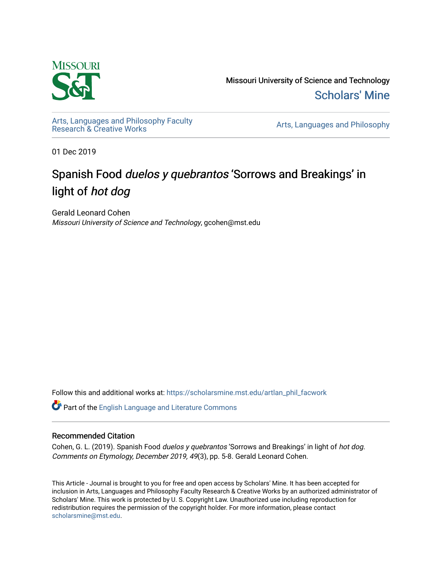

Missouri University of Science and Technology [Scholars' Mine](https://scholarsmine.mst.edu/) 

[Arts, Languages and Philosophy Faculty](https://scholarsmine.mst.edu/artlan_phil_facwork) 

Arts, Languages and Philosophy

01 Dec 2019

# Spanish Food duelos y quebrantos 'Sorrows and Breakings' in light of hot dog

Gerald Leonard Cohen Missouri University of Science and Technology, gcohen@mst.edu

Follow this and additional works at: [https://scholarsmine.mst.edu/artlan\\_phil\\_facwork](https://scholarsmine.mst.edu/artlan_phil_facwork?utm_source=scholarsmine.mst.edu%2Fartlan_phil_facwork%2F161&utm_medium=PDF&utm_campaign=PDFCoverPages) 

Part of the [English Language and Literature Commons](http://network.bepress.com/hgg/discipline/455?utm_source=scholarsmine.mst.edu%2Fartlan_phil_facwork%2F161&utm_medium=PDF&utm_campaign=PDFCoverPages)

#### Recommended Citation

Cohen, G. L. (2019). Spanish Food *duelos y quebrantos* 'Sorrows and Breakings' in light of *hot dog*. Comments on Etymology, December 2019, 49(3), pp. 5-8. Gerald Leonard Cohen.

This Article - Journal is brought to you for free and open access by Scholars' Mine. It has been accepted for inclusion in Arts, Languages and Philosophy Faculty Research & Creative Works by an authorized administrator of Scholars' Mine. This work is protected by U. S. Copyright Law. Unauthorized use including reproduction for redistribution requires the permission of the copyright holder. For more information, please contact [scholarsmine@mst.edu.](mailto:scholarsmine@mst.edu)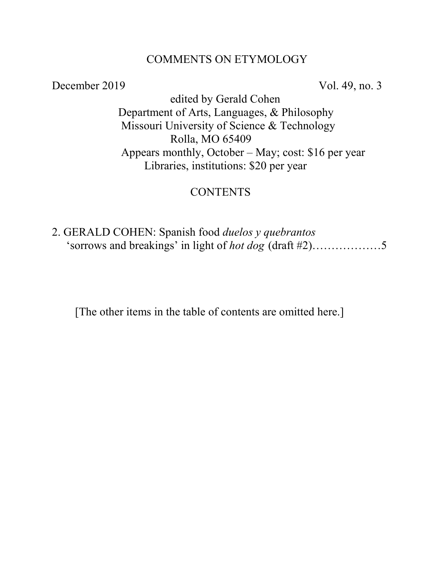#### COMMENTS ON ETYMOLOGY

December 2019 Vol. 49, no. 3

 edited by Gerald Cohen Department of Arts, Languages, & Philosophy Missouri University of Science & Technology Rolla, MO 65409 Appears monthly, October – May; cost: \$16 per year Libraries, institutions: \$20 per year

## **CONTENTS**

2. GERALD COHEN: Spanish food *duelos y quebrantos* 'sorrows and breakings' in light of *hot dog* (draft #2)………………5

[The other items in the table of contents are omitted here.]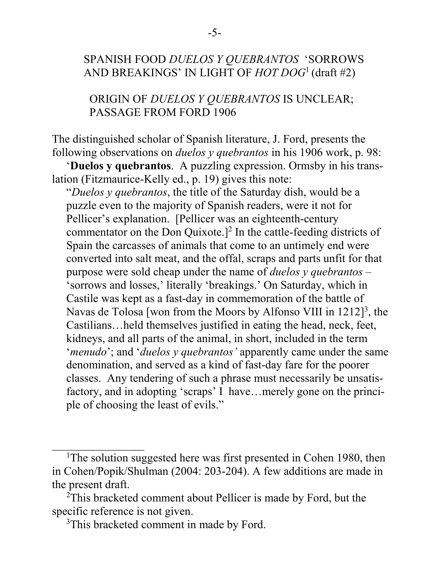# SPANISH FOOD *DUELOS Y QUEBRANTOS* 'SORROWS AND BREAKINGS' IN LIGHT OF *HOT DOG*1 (draft #2)

 ORIGIN OF *DUELOS Y QUEBRANTOS* IS UNCLEAR; PASSAGE FROM FORD 1906

The distinguished scholar of Spanish literature, J. Ford, presents the following observations on *duelos y quebrantos* in his 1906 work, p. 98:

 '**Duelos y quebrantos**. A puzzling expression. Ormsby in his translation (Fitzmaurice-Kelly ed., p. 19) gives this note:

 "*Duelos y quebrantos*, the title of the Saturday dish, would be a puzzle even to the majority of Spanish readers, were it not for Pellicer's explanation. [Pellicer was an eighteenth-century commentator on the Don Quixote.]<sup>2</sup> In the cattle-feeding districts of Spain the carcasses of animals that come to an untimely end were converted into salt meat, and the offal, scraps and parts unfit for that purpose were sold cheap under the name of *duelos y quebrantos* – 'sorrows and losses,' literally 'breakings.' On Saturday, which in Castile was kept as a fast-day in commemoration of the battle of Navas de Tolosa [won from the Moors by Alfonso VIII in 1212]<sup>3</sup>, the Castilians…held themselves justified in eating the head, neck, feet, kidneys, and all parts of the animal, in short, included in the term '*menudo*'; and '*duelos y quebrantos'* apparently came under the same denomination, and served as a kind of fast-day fare for the poorer classes. Any tendering of such a phrase must necessarily be unsatis factory, and in adopting 'scraps' I have…merely gone on the princi ple of choosing the least of evils."

 $\overline{\phantom{a}}$ 

<sup>&</sup>lt;sup>1</sup>The solution suggested here was first presented in Cohen 1980, then in Cohen/Popik/Shulman (2004: 203-204). A few additions are made in the present draft.

<sup>&</sup>lt;sup>2</sup>This bracketed comment about Pellicer is made by Ford, but the specific reference is not given.

<sup>&</sup>lt;sup>3</sup>This bracketed comment in made by Ford.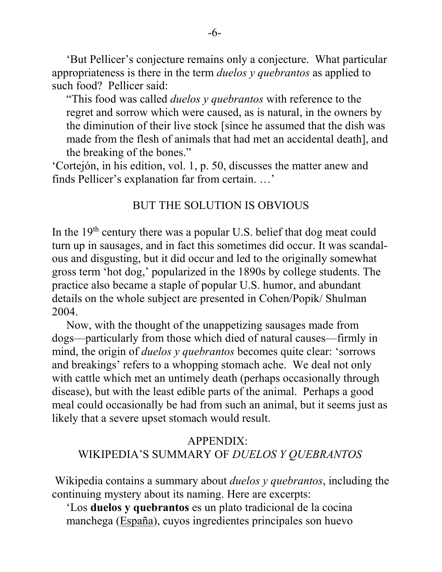'But Pellicer's conjecture remains only a conjecture. What particular appropriateness is there in the term *duelos y quebrantos* as applied to such food? Pellicer said:

 "This food was called *duelos y quebrantos* with reference to the regret and sorrow which were caused, as is natural, in the owners by the diminution of their live stock [since he assumed that the dish was made from the flesh of animals that had met an accidental death], and the breaking of the bones."

'Cortejón, in his edition, vol. 1, p. 50, discusses the matter anew and finds Pellicer's explanation far from certain. …'

#### BUT THE SOLUTION IS OBVIOUS

In the  $19<sup>th</sup>$  century there was a popular U.S. belief that dog meat could turn up in sausages, and in fact this sometimes did occur. It was scandalous and disgusting, but it did occur and led to the originally somewhat gross term 'hot dog,' popularized in the 1890s by college students. The practice also became a staple of popular U.S. humor, and abundant details on the whole subject are presented in Cohen/Popik/ Shulman 2004.

 Now, with the thought of the unappetizing sausages made from dogs—particularly from those which died of natural causes—firmly in mind, the origin of *duelos y quebrantos* becomes quite clear: 'sorrows and breakings' refers to a whopping stomach ache. We deal not only with cattle which met an untimely death (perhaps occasionally through disease), but with the least edible parts of the animal. Perhaps a good meal could occasionally be had from such an animal, but it seems just as likely that a severe upset stomach would result.

### APPENDIX: WIKIPEDIA'S SUMMARY OF *DUELOS Y QUEBRANTOS*

Wikipedia contains a summary about *duelos y quebrantos*, including the continuing mystery about its naming. Here are excerpts:

 'Los **duelos y quebrantos** es un plato tradicional de la cocina manchega [\(España\)](https://es.wikipedia.org/wiki/Espa%C3%B1a), cuyos ingredientes principales son huevo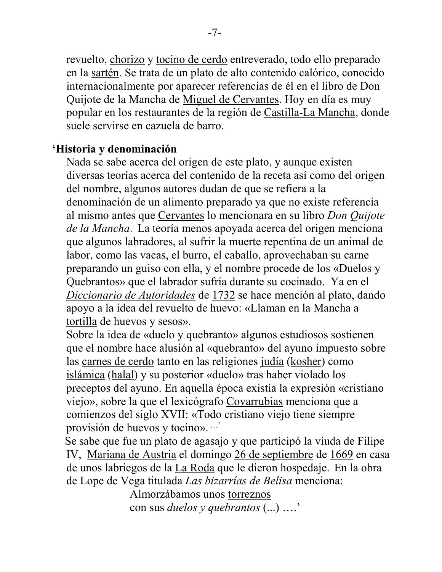revuelto, [chorizo](https://es.wikipedia.org/wiki/Chorizo) y [tocino de cerdo](https://es.wikipedia.org/wiki/Tocino_de_cerdo) entreverado, todo ello preparado en la [sartén.](https://es.wikipedia.org/wiki/Sart%C3%A9n) Se trata de un plato de alto contenido calórico, conocido internacionalmente por aparecer referencias de él en el libro de Don Quijote de la Mancha de [Miguel de Cervantes.](https://es.wikipedia.org/wiki/Miguel_de_Cervantes) Hoy en día es muy popular en los restaurantes de la región de [Castilla-La Mancha,](https://es.wikipedia.org/wiki/Castilla-La_Mancha) donde suele servirse en [cazuela de barro.](https://es.wikipedia.org/wiki/Cazuela_de_barro)

# **'Historia y denominación**

 Nada se sabe acerca del origen de este plato, y aunque existen diversas teorías acerca del contenido de la receta así como del origen del nombre, algunos autores dudan de que se refiera a la denominación de un alimento preparado ya que no existe referencia al mismo antes que [Cervantes](https://es.wikipedia.org/wiki/Cervantes) lo mencionara en su libro *Don Quijote de la Mancha*. La teoría menos apoyada acerca del origen menciona que algunos labradores, al sufrir la muerte repentina de un animal de labor, como las vacas, el burro, el caballo, aprovechaban su carne preparando un guiso con ella, y el nombre procede de los «Duelos y Quebrantos» que el labrador sufría durante su cocinado. Ya en el *[Diccionario de Autoridades](https://es.wikipedia.org/wiki/Diccionario_de_Autoridades)* de [1732](https://es.wikipedia.org/wiki/1732) se hace mención al plato, dando apoyo a la idea del revuelto de huevo: «Llaman en la Mancha a [tortilla](https://es.wikipedia.org/wiki/Tortilla) de huevos y sesos».

 Sobre la idea de «duelo y quebranto» algunos estudiosos sostienen que el nombre hace alusión al «quebranto» del ayuno impuesto sobre las [carnes de cerdo](https://es.wikipedia.org/wiki/Carne_de_cerdo) tanto en las religiones [judía](https://es.wikipedia.org/wiki/Juda%C3%ADsmo) [\(kosher\)](https://es.wikipedia.org/wiki/Kosher) como [islámica](https://es.wikipedia.org/wiki/Isl%C3%A1m) [\(halal\)](https://es.wikipedia.org/wiki/Halal) y su posterior «duelo» tras haber violado los preceptos del ayuno. En aquella época existía la expresión «cristiano viejo», sobre la que el lexicógrafo [Covarrubias](https://es.wikipedia.org/wiki/Sebasti%C3%A1n_de_Covarrubias) menciona que a comienzos del siglo XVII: «Todo cristiano viejo tiene siempre provisión de huevos y tocino». …'

 Se sabe que fue un plato de agasajo y que participó la viuda de Filipe IV, [Mariana de Austria](https://es.wikipedia.org/wiki/Mariana_de_Austria) el domingo [26 de septiembre](https://es.wikipedia.org/wiki/26_de_septiembre) de [1669](https://es.wikipedia.org/wiki/1669) en casa de unos labriegos de la [La Roda](https://es.wikipedia.org/wiki/La_Roda_(Albacete)) que le dieron hospedaje. En la obra de [Lope de Vega](https://es.wikipedia.org/wiki/Lope_de_Vega) titulada *[Las bizarrías de Belisa](https://es.wikipedia.org/wiki/Las_bizarr%C3%ADas_de_Belisa)* menciona:

 Almorzábamos unos [torreznos](https://es.wikipedia.org/wiki/Torrezno) con sus *duelos y quebrantos* (...) ….'